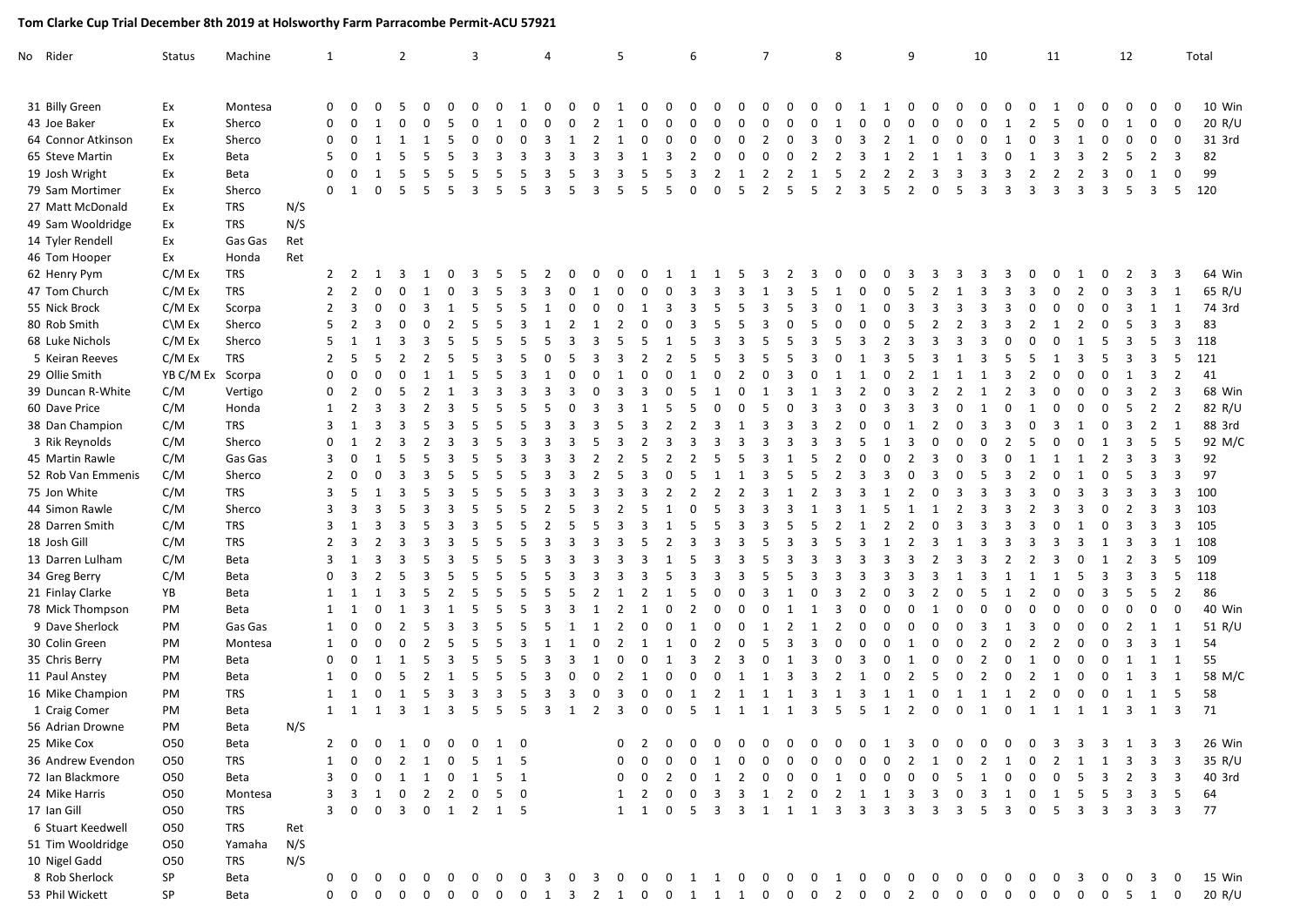## **Tom Clarke Cup Trial December 8th 2019 at Holsworthy Farm Parracombe Permit-ACU 57921**

| No Rider     |                    | <b>Status</b>      | Machine    |     | 1              |              |                | $\overline{2}$ |                |    | 3  |     |                         | 4 |   |                | 5        |                      |              | 6             |          |          | $\overline{7}$ |                |            | 8              |              |                | 9              |                         | 10       |         |                                             | 11             |          |              | 12           |                |                | Total  |
|--------------|--------------------|--------------------|------------|-----|----------------|--------------|----------------|----------------|----------------|----|----|-----|-------------------------|---|---|----------------|----------|----------------------|--------------|---------------|----------|----------|----------------|----------------|------------|----------------|--------------|----------------|----------------|-------------------------|----------|---------|---------------------------------------------|----------------|----------|--------------|--------------|----------------|----------------|--------|
|              |                    |                    |            |     |                |              |                |                |                |    |    |     |                         |   |   |                |          |                      |              |               |          |          |                |                |            |                |              |                |                |                         |          |         |                                             |                |          |              |              |                |                |        |
|              | 31 Billy Green     | Ex                 | Montesa    |     | $\Omega$       |              |                |                |                |    |    |     |                         |   |   |                |          | $\Omega$<br>$\Omega$ | O            | 0             | O        | U        | n              | ŋ              |            |                |              |                |                |                         |          |         |                                             |                |          |              |              |                |                | 10 Win |
|              | 43 Joe Baker       | Ex                 | Sherco     |     | 0              |              |                |                |                |    |    |     |                         |   |   |                |          |                      | <sup>0</sup> | $\Omega$      | 0        | 0        | n              | O              | ŋ          |                |              |                |                |                         |          | -1      |                                             |                |          |              |              | $\Omega$       | 0              | 20 R/U |
|              | 64 Connor Atkinson | Ex                 | Sherco     |     | 0              |              |                |                |                |    |    |     |                         |   |   |                |          |                      |              | O             | $\Omega$ | $\Omega$ | 2              | ŋ              |            | $\Omega$       |              |                |                |                         |          |         |                                             |                |          |              |              |                | 0              | 31 3rd |
|              | 65 Steve Martin    | Ex                 | Beta       |     | 5              |              |                |                |                |    |    |     |                         |   |   |                |          |                      | 3            | 2             | $\Omega$ | $\Omega$ | O              | $\Omega$       | 2          | $\mathcal{P}$  |              |                |                |                         | 3        |         |                                             |                | -3       |              |              | $\overline{2}$ | 3              | 82     |
|              | 19 Josh Wright     | Ex                 | Beta       |     | $\Omega$       |              |                |                |                |    |    |     |                         |   |   |                |          | 5                    | 5            | 3             |          | 1        | 2              | 2              |            | 5              | 2            |                |                |                         |          |         |                                             |                | 2        | 3            | 0            |                | 0              | 99     |
|              | 79 Sam Mortimer    | Ex                 | Sherco     |     | $\Omega$       |              | $\Omega$       | .5             | .5             | .5 | 3  | 5   | -5                      | 3 | 5 | 3              | 5        | 5                    | 5            | 0             | 0        | 5        | $\overline{2}$ | 5              | 5          | $\overline{2}$ | 3            | 5              | $\overline{2}$ | $\Omega$                | 5        | 3<br>3  | 3                                           | 3              | 3        | 3            | 5            | 3              | 5              | 120    |
|              | 27 Matt McDonald   | Ex                 | <b>TRS</b> | N/S |                |              |                |                |                |    |    |     |                         |   |   |                |          |                      |              |               |          |          |                |                |            |                |              |                |                |                         |          |         |                                             |                |          |              |              |                |                |        |
|              | 49 Sam Wooldridge  | Ex                 | TRS        | N/S |                |              |                |                |                |    |    |     |                         |   |   |                |          |                      |              |               |          |          |                |                |            |                |              |                |                |                         |          |         |                                             |                |          |              |              |                |                |        |
|              | 14 Tyler Rendell   | Ex                 | Gas Gas    | Ret |                |              |                |                |                |    |    |     |                         |   |   |                |          |                      |              |               |          |          |                |                |            |                |              |                |                |                         |          |         |                                             |                |          |              |              |                |                |        |
|              | 46 Tom Hooper      | Ex                 | Honda      | Ret |                |              |                |                |                |    |    |     |                         |   |   |                |          |                      |              |               |          |          |                |                |            |                |              |                |                |                         |          |         |                                             |                |          |              |              |                |                |        |
|              | 62 Henry Pym       | C/M Ex             | TRS        |     | $2^{\circ}$    | - 2          |                |                |                |    |    |     |                         |   |   |                |          |                      |              |               |          |          |                | 2              |            |                |              |                |                |                         |          |         |                                             |                |          |              |              | 3              | 3              | 64 Win |
|              | 47 Tom Church      | C/M Ex             | <b>TRS</b> |     | $\overline{2}$ | 2            |                |                |                |    |    |     |                         |   |   |                |          |                      |              |               |          | 3        |                | З              |            |                |              |                |                |                         |          |         |                                             |                |          |              |              |                |                | 65 R/U |
|              | 55 Nick Brock      | C/M Ex             | Scorpa     |     | $\overline{2}$ |              |                |                |                |    |    |     |                         |   |   |                |          |                      |              |               |          |          |                |                |            |                |              |                |                |                         |          |         |                                             |                |          |              |              |                |                | 74 3rd |
|              | 80 Rob Smith       | $C \setminus M$ Ex | Sherco     |     | 5              |              |                |                |                |    |    |     |                         |   |   |                |          |                      |              | 3             |          |          | Р              |                |            |                |              |                |                |                         | 3        |         |                                             |                | 2        | <sup>0</sup> |              |                | 3              | 83     |
|              | 68 Luke Nichols    | C/M Ex             | Sherco     |     |                |              |                |                |                |    |    |     |                         |   |   |                |          |                      |              |               |          |          |                |                |            |                |              |                |                |                         |          |         |                                             |                |          |              |              |                | 3              | 118    |
|              | 5 Keiran Reeves    | C/M Ex             | TRS        |     | 2              |              |                |                |                |    |    |     |                         |   |   |                |          |                      |              |               |          |          |                |                |            |                |              |                |                |                         |          |         |                                             |                |          |              |              |                | 5              | 121    |
|              | 29 Ollie Smith     | YB C/M Ex          | Scorpa     |     | $\Omega$       |              |                |                |                |    |    |     |                         |   |   |                |          |                      |              |               |          |          |                |                |            |                |              |                |                |                         |          |         |                                             |                |          |              |              |                | 2              | 41     |
|              | 39 Duncan R-White  | C/M                | Vertigo    |     | 0              |              |                |                |                |    |    |     |                         |   |   |                |          |                      |              |               |          |          |                |                |            |                |              |                |                |                         |          |         |                                             |                |          |              |              |                | 3              | 68 Win |
|              | 60 Dave Price      | C/M                | Honda      |     | 1              |              |                |                |                |    |    |     |                         |   |   |                |          |                      |              |               |          |          |                |                |            |                |              |                |                |                         |          |         |                                             |                |          |              |              |                | $\overline{2}$ | 82 R/U |
|              | 38 Dan Champion    | C/M                | TRS        |     | 3              |              |                |                |                |    |    |     |                         |   |   |                |          |                      |              | $\mathcal{P}$ |          |          |                | З              |            |                |              |                |                |                         |          |         |                                             |                |          |              |              | 2              | 1              | 88 3rd |
|              | 3 Rik Reynolds     | C/M                | Sherco     |     | $\Omega$       |              |                |                |                |    |    |     |                         |   |   |                |          |                      |              |               |          |          |                |                |            |                |              |                |                |                         |          |         |                                             |                |          |              |              | 5              | 5              | 92 M/C |
|              | 45 Martin Rawle    | C/M                | Gas Gas    |     | 3              |              |                |                |                |    |    |     |                         |   |   |                |          |                      |              |               |          |          |                |                |            |                |              |                |                |                         |          |         |                                             |                |          |              |              | 3              | 3              | 92     |
|              | 52 Rob Van Emmenis | C/M                | Sherco     |     | 2              |              |                |                |                |    |    |     |                         |   |   |                |          |                      |              |               |          |          |                |                |            |                |              |                |                |                         |          |         |                                             |                |          |              |              |                | 3              | 97     |
|              | 75 Jon White       | C/M                | TRS        |     | 3              |              |                |                |                |    |    |     |                         |   |   |                |          |                      | 2            | - 2           |          |          |                |                |            |                |              |                |                |                         |          |         |                                             |                | 3        | 3            |              |                | 3              | 100    |
|              | 44 Simon Rawle     | C/M                | Sherco     |     | 3              |              |                |                |                |    |    |     |                         |   |   |                |          |                      |              | $\Omega$      |          |          |                |                |            |                |              |                |                |                         |          |         |                                             |                | 3        | <sup>0</sup> |              | 3              | 3              | 103    |
|              | 28 Darren Smith    | C/M                | <b>TRS</b> |     |                |              |                |                |                |    |    |     |                         |   |   |                |          |                      |              |               |          |          |                |                |            |                |              |                |                |                         |          |         |                                             |                |          |              |              |                | 3              | 105    |
| 18 Josh Gill |                    | C/M                | <b>TRS</b> |     | 2              |              |                |                |                |    |    |     |                         |   |   |                |          |                      |              |               |          |          |                |                |            |                |              |                |                |                         |          |         |                                             |                |          |              |              |                | 1              | 108    |
|              | 13 Darren Lulham   | C/M                | Beta       |     | 3              |              |                |                |                |    |    |     |                         |   |   |                |          |                      |              |               |          |          |                |                |            |                |              |                |                |                         |          |         |                                             |                |          |              |              |                | 5              | 109    |
|              | 34 Greg Berry      | C/M                | Beta       |     | 0              |              |                |                |                |    |    |     |                         |   |   |                |          |                      |              |               |          |          |                |                |            |                |              |                |                |                         |          |         |                                             |                | 5        | 3            |              | 3              | 5              | 118    |
|              | 21 Finlay Clarke   | YB                 | Beta       |     | 1              |              |                |                |                |    |    |     |                         |   |   |                |          |                      |              | 5             |          |          |                |                |            |                |              |                |                |                         |          |         |                                             |                | O        | 3            | 5            | 5              | $\overline{2}$ | 86     |
|              | 78 Mick Thompson   | PM                 | Beta       |     |                |              |                |                |                |    |    |     |                         |   |   |                |          |                      |              |               |          |          |                |                |            |                |              |                |                |                         |          |         |                                             |                |          |              |              |                | $\Omega$       | 40 Win |
|              | 9 Dave Sherlock    | PM                 | Gas Gas    |     |                |              |                |                |                |    |    |     |                         |   |   |                |          |                      |              |               |          |          |                |                |            |                |              |                |                |                         |          |         |                                             |                |          |              |              |                | 1              | 51 R/U |
|              | 30 Colin Green     | PM                 | Montesa    |     | 1              |              |                |                |                |    |    |     |                         |   |   |                |          |                      |              |               |          |          |                | Р              |            |                |              |                |                |                         |          |         |                                             |                |          | $\Omega$     |              | з              | 1              | 54     |
|              | 35 Chris Berry     | PM                 | Beta       |     | 0              |              |                |                | 5              |    |    |     |                         |   |   |                |          |                      |              | 3             |          | 3        | O              |                | 3          | <sup>0</sup>   |              |                |                |                         | $\Omega$ |         |                                             | O              | $\Omega$ | <sup>0</sup> |              |                | 1              | 55     |
|              | 11 Paul Anstey     | PM                 | Beta       |     | 1              |              |                |                |                |    |    |     |                         |   |   |                |          |                      | <sup>0</sup> | $\Omega$      | $\Omega$ |          |                | 3              | 3          |                |              |                |                |                         |          |         |                                             |                |          |              |              |                | 1              | 58 M/C |
|              | 16 Mike Champion   | PM                 | <b>TRS</b> |     |                |              |                | -1             | 5              |    |    | 3   |                         |   | 3 | $\Omega$       | 3        | $\Omega$             | 0            | 1             | 2        |          |                |                | 3          |                | 3            |                |                | $\Omega$                | -1<br>-1 |         |                                             | $\Omega$       | 0        | 0            |              | 1              | 5              | 58     |
|              | 1 Craig Comer      | PM                 | Beta       |     | 1              | -1           | 1              | -3             | -1             | 3  | -5 | 5   | -5                      | 3 | 1 | $\overline{2}$ | 3        | 0                    | 0            | 5             | -1       | 1        | 1              | 1              | 3          | 5              | -5           | 1              | 2              | $\Omega$                | 0<br>1   | 0       | 1                                           | 1              | 1        | 1            | 3            | 1              | 3              | 71     |
|              | 56 Adrian Drowne   | PM                 | Beta       | N/S |                |              |                |                |                |    |    |     |                         |   |   |                |          |                      |              |               |          |          |                |                |            |                |              |                |                |                         |          |         |                                             |                |          |              |              |                |                |        |
| 25 Mike Cox  |                    | 050                |            |     |                |              |                | 2 0 0 1 0 0 0  |                |    |    |     |                         |   |   |                |          |                      |              |               |          |          |                |                |            |                |              |                |                |                         |          |         | 0 2 0 0 0 0 0 0 0 0 0 1 3 0 0 0 0 0 3 3 3 1 |                |          |              |              |                |                |        |
|              |                    |                    | Beta       |     |                |              |                |                |                |    |    |     | 0                       |   |   |                |          | $\Omega$             |              |               |          |          |                |                |            | $\Omega$       |              | n              |                |                         |          |         |                                             |                |          |              |              |                |                | 26 Win |
|              | 36 Andrew Evendon  | 050                | TRS        |     |                | $\Omega$     | 0              | 2              | $\mathbf{1}$   | 0  | 5  | 1   | - 5                     |   |   |                | $\Omega$ |                      | 0            | 0             | -1       | $\Omega$ | <sup>0</sup>   | <sup>0</sup>   |            |                |              |                |                | -1                      | $\Omega$ | 2<br>-1 | 0                                           | 2              | 1        |              | 3            | 3              | 3              | 35 R/U |
|              | 72 Ian Blackmore   | 050                | Beta       |     |                |              | 0              | 1              | -1             | 0  | -1 | 5   | $\overline{1}$          |   |   |                |          |                      |              |               |          |          |                |                |            |                |              |                |                |                         |          |         |                                             |                |          |              |              | 3              | 3              | 40 3rd |
|              | 24 Mike Harris     | 050                | Montesa    |     | 3              |              | 1              | 0              | $\overline{2}$ | 2  | 0  | 5   | $\overline{\mathbf{0}}$ |   |   |                |          |                      |              |               |          |          |                | 2              |            |                |              |                |                |                         |          | 3       |                                             |                |          |              |              |                | 5              | 64     |
| 17 Ian Gill  |                    | O50                | TRS        |     |                |              |                | 3              | $\mathbf{0}$   | 1  | 2  | 1 5 |                         |   |   |                |          |                      |              |               |          |          |                |                |            |                |              |                |                |                         |          |         |                                             |                |          |              |              | 3              | 3              | 77     |
|              | 6 Stuart Keedwell  | 050                | TRS        | Ret |                |              |                |                |                |    |    |     |                         |   |   |                |          |                      |              |               |          |          |                |                |            |                |              |                |                |                         |          |         |                                             |                |          |              |              |                |                |        |
|              | 51 Tim Wooldridge  | 050                | Yamaha     | N/S |                |              |                |                |                |    |    |     |                         |   |   |                |          |                      |              |               |          |          |                |                |            |                |              |                |                |                         |          |         |                                             |                |          |              |              |                |                |        |
|              | 10 Nigel Gadd      | O50                | TRS        | N/S |                |              |                |                |                |    |    |     |                         |   |   |                |          |                      |              |               |          |          |                |                |            |                |              |                |                |                         |          |         |                                             |                |          |              |              |                |                |        |
|              | 8 Rob Sherlock     | SP                 | Beta       |     | 0              | $\mathbf{0}$ |                |                |                | 0  |    | 0   |                         | 3 | 0 | 3              | 0        | 0                    | $\mathbf 0$  |               |          | 1 1 0 0  |                | $\overline{0}$ | $0\quad 1$ |                | $\mathbf{0}$ | $\overline{0}$ | $\overline{0}$ | $\overline{\mathbf{0}}$ | 0        | 0<br>0  | 0                                           | $\overline{0}$ | 3        | $\mathbf 0$  | $\mathbf{0}$ | 3 0            |                | 15 Win |
|              | 53 Phil Wickett    | SP                 | Beta       |     |                | $0\quad 0$   | $\overline{0}$ | $0\quad 0$     |                |    |    |     |                         |   |   |                |          |                      |              |               |          |          |                |                |            |                |              |                |                |                         |          |         |                                             |                |          |              |              |                |                | 20 R/U |